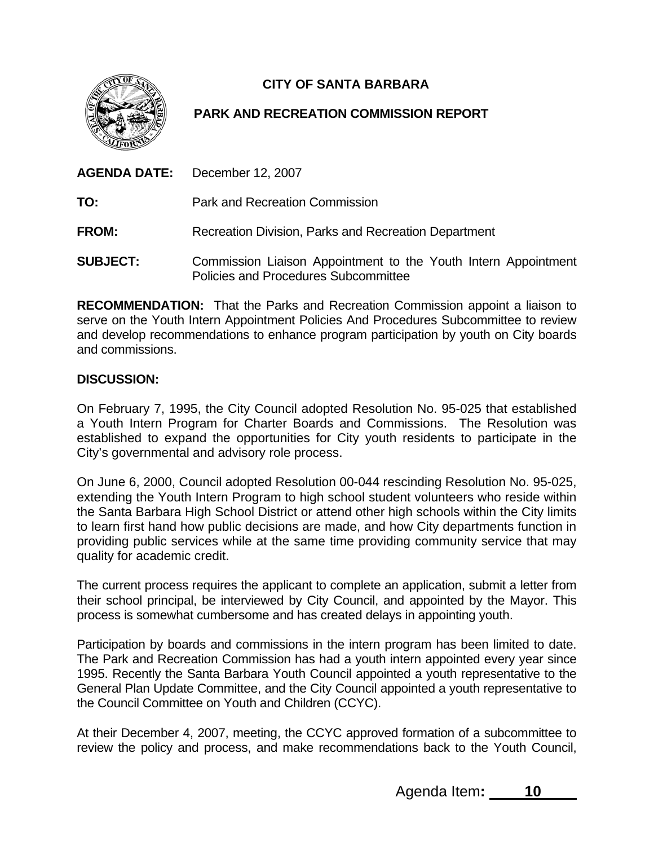

## **CITY OF SANTA BARBARA**

## **PARK AND RECREATION COMMISSION REPORT**

| <b>AGENDA DATE:</b> | December 12, 2007                                                                                      |
|---------------------|--------------------------------------------------------------------------------------------------------|
| TO:                 | <b>Park and Recreation Commission</b>                                                                  |
| <b>FROM:</b>        | Recreation Division, Parks and Recreation Department                                                   |
| <b>SUBJECT:</b>     | Commission Liaison Appointment to the Youth Intern Appointment<br>Policies and Procedures Subcommittee |

**RECOMMENDATION:** That the Parks and Recreation Commission appoint a liaison to serve on the Youth Intern Appointment Policies And Procedures Subcommittee to review and develop recommendations to enhance program participation by youth on City boards and commissions.

## **DISCUSSION:**

On February 7, 1995, the City Council adopted Resolution No. 95-025 that established a Youth Intern Program for Charter Boards and Commissions. The Resolution was established to expand the opportunities for City youth residents to participate in the City's governmental and advisory role process.

On June 6, 2000, Council adopted Resolution 00-044 rescinding Resolution No. 95-025, extending the Youth Intern Program to high school student volunteers who reside within the Santa Barbara High School District or attend other high schools within the City limits to learn first hand how public decisions are made, and how City departments function in providing public services while at the same time providing community service that may quality for academic credit.

The current process requires the applicant to complete an application, submit a letter from their school principal, be interviewed by City Council, and appointed by the Mayor. This process is somewhat cumbersome and has created delays in appointing youth.

Participation by boards and commissions in the intern program has been limited to date. The Park and Recreation Commission has had a youth intern appointed every year since 1995. Recently the Santa Barbara Youth Council appointed a youth representative to the General Plan Update Committee, and the City Council appointed a youth representative to the Council Committee on Youth and Children (CCYC).

At their December 4, 2007, meeting, the CCYC approved formation of a subcommittee to review the policy and process, and make recommendations back to the Youth Council,

Agenda Item**: 10**